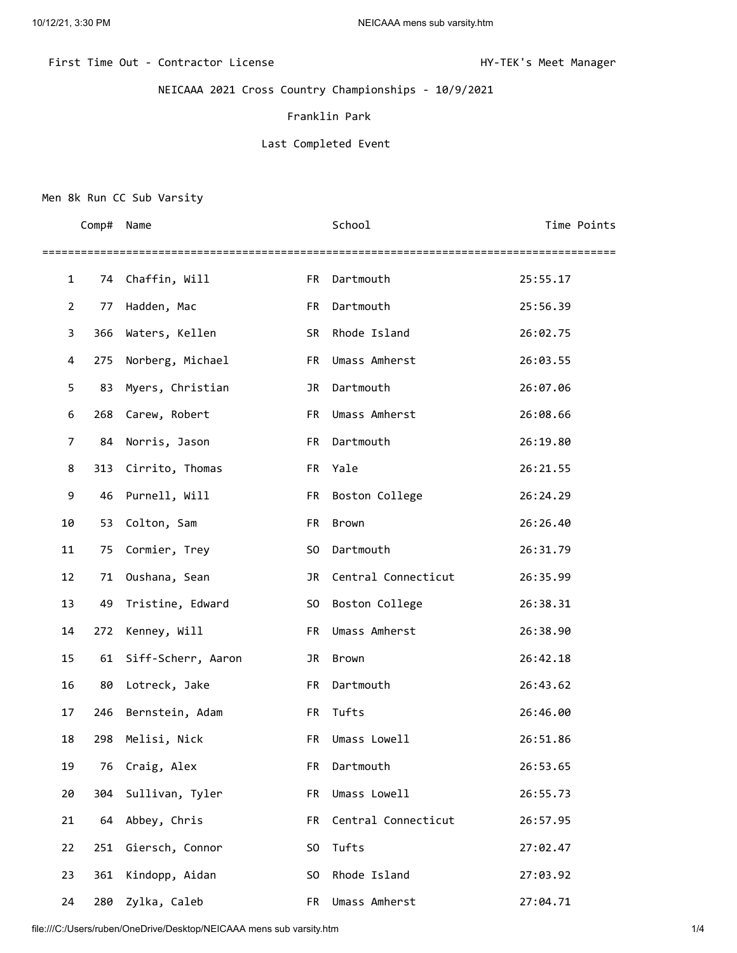First Time Out - Contractor License Manager Manager (State HY-TEK's Meet Manager

NEICAAA 2021 Cross Country Championships - 10/9/2021

Franklin Park

## Last Completed Event

## Men 8k Run CC Sub Varsity

|              | Comp# | Name               |           | School              | Time Points |
|--------------|-------|--------------------|-----------|---------------------|-------------|
| $\mathbf{1}$ | 74    | Chaffin, Will      | FR        | Dartmouth           | 25:55.17    |
| 2            | 77    | Hadden, Mac        | FR        | Dartmouth           | 25:56.39    |
| 3            | 366   | Waters, Kellen     | <b>SR</b> | Rhode Island        | 26:02.75    |
| 4            | 275   | Norberg, Michael   | FR 1      | Umass Amherst       | 26:03.55    |
| 5            | 83    | Myers, Christian   | JR        | Dartmouth           | 26:07.06    |
| 6            | 268   | Carew, Robert      | FR        | Umass Amherst       | 26:08.66    |
| 7            | 84    | Norris, Jason      | FR        | Dartmouth           | 26:19.80    |
| 8            | 313   | Cirrito, Thomas    |           | FR Yale             | 26:21.55    |
| 9            | 46    | Purnell, Will      | <b>FR</b> | Boston College      | 26:24.29    |
| 10           | 53    | Colton, Sam        | FR        | Brown               | 26:26.40    |
| 11           | 75    | Cormier, Trey      | S0        | Dartmouth           | 26:31.79    |
| 12           | 71    | Oushana, Sean      | JR        | Central Connecticut | 26:35.99    |
| 13           | 49    | Tristine, Edward   | SO.       | Boston College      | 26:38.31    |
| 14           | 272   | Kenney, Will       | FR        | Umass Amherst       | 26:38.90    |
| 15           | 61    | Siff-Scherr, Aaron | JR        | Brown               | 26:42.18    |
| 16           | 80    | Lotreck, Jake      | FR        | Dartmouth           | 26:43.62    |
| 17           | 246   | Bernstein, Adam    | FR        | Tufts               | 26:46.00    |
| 18           | 298   | Melisi, Nick       | FR        | Umass Lowell        | 26:51.86    |
| 19           |       | 76 Craig, Alex     | FR        | Dartmouth           | 26:53.65    |
| 20           | 304   | Sullivan, Tyler    | FR        | Umass Lowell        | 26:55.73    |
| 21           | 64    | Abbey, Chris       | FR.       | Central Connecticut | 26:57.95    |
| 22           | 251   | Giersch, Connor    | S0        | Tufts               | 27:02.47    |
| 23           | 361   | Kindopp, Aidan     | S0        | Rhode Island        | 27:03.92    |
| 24           | 280   | Zylka, Caleb       | FR        | Umass Amherst       | 27:04.71    |

file:///C:/Users/ruben/OneDrive/Desktop/NEICAAA mens sub varsity.htm 1/4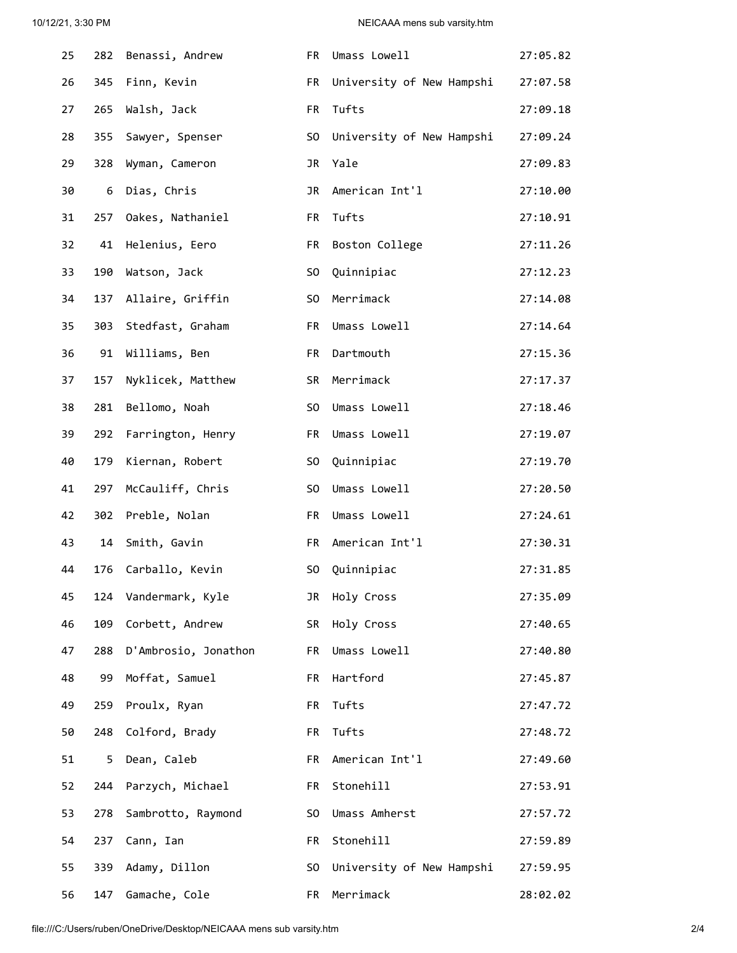| 25 | 282 | Benassi, Andrew      | FR             | Umass Lowell              | 27:05.82 |
|----|-----|----------------------|----------------|---------------------------|----------|
| 26 | 345 | Finn, Kevin          | FR             | University of New Hampshi | 27:07.58 |
| 27 | 265 | Walsh, Jack          | FR             | Tufts                     | 27:09.18 |
| 28 | 355 | Sawyer, Spenser      | S <sub>0</sub> | University of New Hampshi | 27:09.24 |
| 29 | 328 | Wyman, Cameron       | JR             | Yale                      | 27:09.83 |
| 30 | 6   | Dias, Chris          | JR             | American Int'l            | 27:10.00 |
| 31 | 257 | Oakes, Nathaniel     | FR             | Tufts                     | 27:10.91 |
| 32 | 41  | Helenius, Eero       | FR             | Boston College            | 27:11.26 |
| 33 | 190 | Watson, Jack         | S <sub>0</sub> | Quinnipiac                | 27:12.23 |
| 34 | 137 | Allaire, Griffin     | S <sub>0</sub> | Merrimack                 | 27:14.08 |
| 35 | 303 | Stedfast, Graham     | FR             | Umass Lowell              | 27:14.64 |
| 36 | 91  | Williams, Ben        | FR.            | Dartmouth                 | 27:15.36 |
| 37 | 157 | Nyklicek, Matthew    | SR             | Merrimack                 | 27:17.37 |
| 38 | 281 | Bellomo, Noah        | S <sub>0</sub> | Umass Lowell              | 27:18.46 |
| 39 | 292 | Farrington, Henry    | FR             | Umass Lowell              | 27:19.07 |
| 40 | 179 | Kiernan, Robert      | S <sub>0</sub> | Quinnipiac                | 27:19.70 |
| 41 | 297 | McCauliff, Chris     | S <sub>0</sub> | Umass Lowell              | 27:20.50 |
| 42 | 302 | Preble, Nolan        | FR             | Umass Lowell              | 27:24.61 |
| 43 | 14  | Smith, Gavin         | FR             | American Int'l            | 27:30.31 |
| 44 | 176 | Carballo, Kevin      | S0             | Quinnipiac                | 27:31.85 |
| 45 | 124 | Vandermark, Kyle     | JR             | Holy Cross                | 27:35.09 |
| 46 | 109 | Corbett, Andrew      | SR             | Holy Cross                | 27:40.65 |
| 47 | 288 | D'Ambrosio, Jonathon | FR.            | Umass Lowell              | 27:40.80 |
| 48 | 99  | Moffat, Samuel       | FR             | Hartford                  | 27:45.87 |
| 49 | 259 | Proulx, Ryan         | FR             | Tufts                     | 27:47.72 |
| 50 | 248 | Colford, Brady       | FR             | Tufts                     | 27:48.72 |
| 51 | 5.  | Dean, Caleb          | FR             | American Int'l            | 27:49.60 |
| 52 | 244 | Parzych, Michael     | FR             | Stonehill                 | 27:53.91 |
| 53 | 278 | Sambrotto, Raymond   | S0             | Umass Amherst             | 27:57.72 |
| 54 | 237 | Cann, Ian            | FR             | Stonehill                 | 27:59.89 |
| 55 | 339 | Adamy, Dillon        | S0             | University of New Hampshi | 27:59.95 |
| 56 | 147 | Gamache, Cole        | FR             | Merrimack                 | 28:02.02 |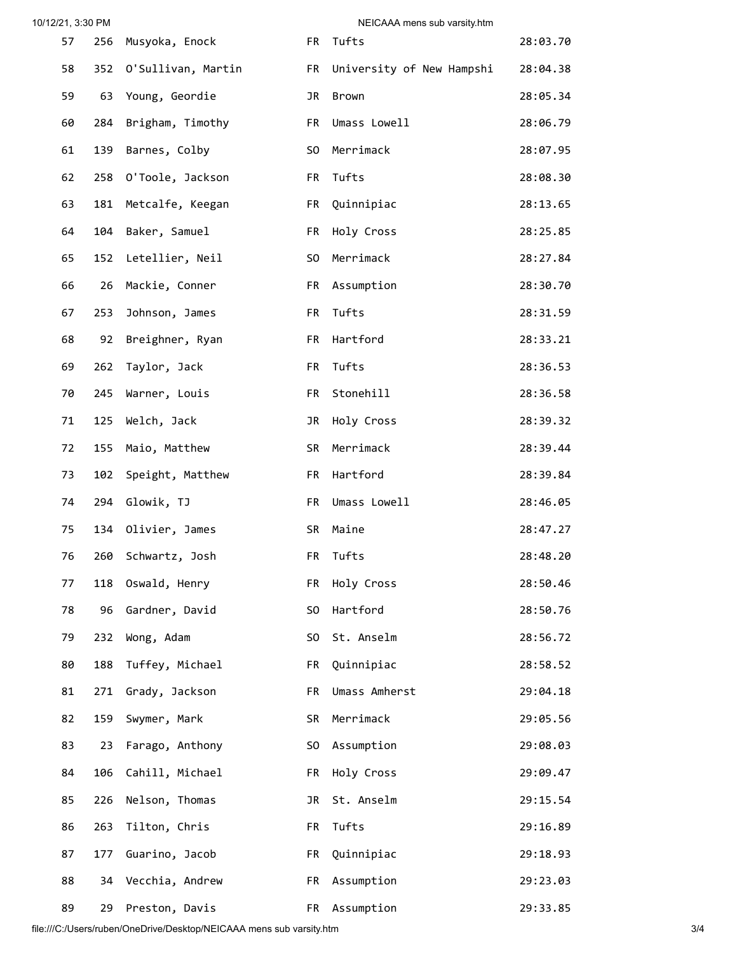| 10/12/21, 3:30 PM |     | NEICAAA mens sub varsity.htm |                |                           |          |  |
|-------------------|-----|------------------------------|----------------|---------------------------|----------|--|
| 57                | 256 | Musyoka, Enock               | FR             | Tufts                     | 28:03.70 |  |
| 58                | 352 | O'Sullivan, Martin           | <b>FR</b>      | University of New Hampshi | 28:04.38 |  |
| 59                | 63  | Young, Geordie               | JR             | Brown                     | 28:05.34 |  |
| 60                | 284 | Brigham, Timothy             | <b>FR</b>      | Umass Lowell              | 28:06.79 |  |
| 61                | 139 | Barnes, Colby                | S <sub>0</sub> | Merrimack                 | 28:07.95 |  |
| 62                | 258 | O'Toole, Jackson             | FR             | Tufts                     | 28:08.30 |  |
| 63                | 181 | Metcalfe, Keegan             | FR             | Quinnipiac                | 28:13.65 |  |
| 64                | 104 | Baker, Samuel                | FR             | Holy Cross                | 28:25.85 |  |
| 65                | 152 | Letellier, Neil              | S <sub>0</sub> | Merrimack                 | 28:27.84 |  |
| 66                | 26  | Mackie, Conner               | FR             | Assumption                | 28:30.70 |  |
| 67                | 253 | Johnson, James               | FR             | Tufts                     | 28:31.59 |  |
| 68                | 92  | Breighner, Ryan              | FR             | Hartford                  | 28:33.21 |  |
| 69                | 262 | Taylor, Jack                 | FR             | Tufts                     | 28:36.53 |  |
| 70                | 245 | Warner, Louis                | FR             | Stonehill                 | 28:36.58 |  |
| 71                | 125 | Welch, Jack                  | JR             | Holy Cross                | 28:39.32 |  |
| 72                | 155 | Maio, Matthew                | SR             | Merrimack                 | 28:39.44 |  |
| 73                | 102 | Speight, Matthew             | FR             | Hartford                  | 28:39.84 |  |
| 74                | 294 | Glowik, TJ                   | FR             | Umass Lowell              | 28:46.05 |  |
| 75                | 134 | Olivier, James               | SR             | Maine                     | 28:47.27 |  |
| 76                |     | 260 Schwartz, Josh           |                | FR Tufts                  | 28:48.20 |  |
| 77                | 118 | Oswald, Henry                | FR             | Holy Cross                | 28:50.46 |  |
| 78                | 96  | Gardner, David               | S <sub>0</sub> | Hartford                  | 28:50.76 |  |
| 79                | 232 | Wong, Adam                   | S <sub>0</sub> | St. Anselm                | 28:56.72 |  |
| 80                | 188 | Tuffey, Michael              | FR             | Quinnipiac                | 28:58.52 |  |
| 81                | 271 | Grady, Jackson               | FR             | Umass Amherst             | 29:04.18 |  |
| 82                | 159 | Swymer, Mark                 | SR             | Merrimack                 | 29:05.56 |  |
| 83                | 23  | Farago, Anthony              | SO             | Assumption                | 29:08.03 |  |
| 84                | 106 | Cahill, Michael              | FR             | Holy Cross                | 29:09.47 |  |
| 85                | 226 | Nelson, Thomas               | JR             | St. Anselm                | 29:15.54 |  |
| 86                | 263 | Tilton, Chris                | FR             | Tufts                     | 29:16.89 |  |
| 87                | 177 | Guarino, Jacob               | FR             | Quinnipiac                | 29:18.93 |  |
| 88                | 34  | Vecchia, Andrew              | FR             | Assumption                | 29:23.03 |  |
| 89                | 29  | Preston, Davis               | FR             | Assumption                | 29:33.85 |  |